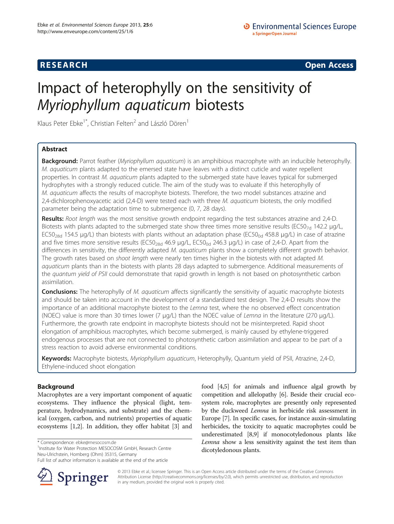## **RESEARCH RESEARCH CONSUMING ACCESS**

# Impact of heterophylly on the sensitivity of Myriophyllum aquaticum biotests

Klaus Peter Ebke<sup>1\*</sup>, Christian Felten<sup>2</sup> and László Dören<sup>1</sup>

## Abstract

Background: Parrot feather (Myriophyllum aquaticum) is an amphibious macrophyte with an inducible heterophylly. M. aquaticum plants adapted to the emersed state have leaves with a distinct cuticle and water repellent properties. In contrast M. aquaticum plants adapted to the submerged state have leaves typical for submerged hydrophytes with a strongly reduced cuticle. The aim of the study was to evaluate if this heterophylly of M. aquaticum affects the results of macrophyte biotests. Therefore, the two model substances atrazine and 2,4-dichlorophenoxyacetic acid (2,4-D) were tested each with three M. aquaticum biotests, the only modified parameter being the adaptation time to submergence (0, 7, 28 days).

Results: Root length was the most sensitive growth endpoint regarding the test substances atrazine and 2,4-D. Biotests with plants adapted to the submerged state show three times more sensitive results (EC50<sub>7d</sub> 142.2 µg/L, EC50<sub>28d</sub> 154.5 μg/L) than biotests with plants without an adaptation phase (EC50<sub>0d</sub> 458.8 μg/L) in case of atrazine and five times more sensitive results (EC50<sub>28d</sub> 46.9 μg/L, EC50<sub>0d</sub> 246.3 μg/L) in case of 2,4-D. Apart from the differences in sensitivity, the differently adapted M. aquaticum plants show a completely different growth behavior. The growth rates based on shoot length were nearly ten times higher in the biotests with not adapted M. aquaticum plants than in the biotests with plants 28 days adapted to submergence. Additional measurements of the quantum yield of PSII could demonstrate that rapid growth in length is not based on photosynthetic carbon assimilation.

**Conclusions:** The heterophylly of M. aquaticum affects significantly the sensitivity of aquatic macrophyte biotests and should be taken into account in the development of a standardized test design. The 2,4-D results show the importance of an additional macrophyte biotest to the Lemna test, where the no observed effect concentration (NOEC) value is more than 30 times lower (7 μg/L) than the NOEC value of Lemna in the literature (270 μg/L). Furthermore, the growth rate endpoint in macrophyte biotests should not be misinterpreted. Rapid shoot elongation of amphibious macrophytes, which become submerged, is mainly caused by ethylene-triggered endogenous processes that are not connected to photosynthetic carbon assimilation and appear to be part of a stress reaction to avoid adverse environmental conditions.

Keywords: Macrophyte biotests, Myriophyllum aquaticum, Heterophylly, Quantum yield of PSII, Atrazine, 2,4-D, Ethylene-induced shoot elongation

### Background

Macrophytes are a very important component of aquatic ecosystems. They influence the physical (light, temperature, hydrodynamics, and substrate) and the chemical (oxygen, carbon, and nutrients) properties of aquatic ecosystems [\[1](#page-7-0),[2](#page-7-0)]. In addition, they offer habitat [\[3](#page-7-0)] and

\* Correspondence: [ebke@mesocosm.de](mailto:ebke@mesocosm.de) <sup>1</sup>

<sup>1</sup>Institute for Water Protection MESOCOSM GmbH, Research Centre Neu-Ulrichstein, Homberg (Ohm) 35315, Germany

Full list of author information is available at the end of the article



food [[4,5\]](#page-7-0) for animals and influence algal growth by competition and allelopathy [\[6](#page-7-0)]. Beside their crucial ecosystem role, macrophytes are presently only represented by the duckweed *Lemna* in herbicide risk assessment in Europe [\[7](#page-7-0)]. In specific cases, for instance auxin-simulating herbicides, the toxicity to aquatic macrophytes could be underestimated [[8](#page-7-0),[9](#page-7-0)] if monocotyledonous plants like Lemna show a less sensitivity against the test item than dicotyledonous plants.

© 2013 Ebke et al.; licensee Springer. This is an Open Access article distributed under the terms of the Creative Commons Attribution License [\(http://creativecommons.org/licenses/by/2.0\)](http://creativecommons.org/licenses/by/2.0), which permits unrestricted use, distribution, and reproduction in any medium, provided the original work is properly cited.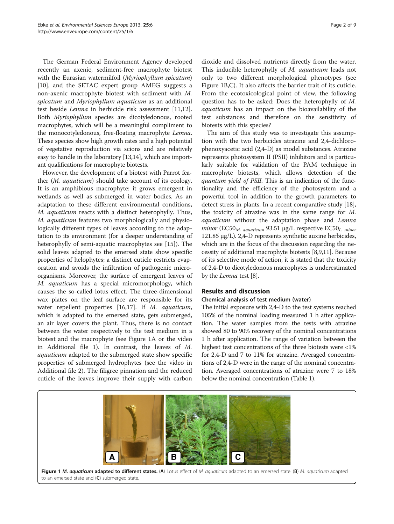The German Federal Environment Agency developed recently an axenic, sediment-free macrophyte biotest with the Eurasian watermilfoil (Myriophyllum spicatum) [[10\]](#page-7-0), and the SETAC expert group AMEG suggests a non-axenic macrophyte biotest with sediment with M. spicatum and Myriophyllum aquaticum as an additional test beside Lemna in herbicide risk assessment [\[11,12](#page-7-0)]. Both Myriophyllum species are dicotyledonous, rooted macrophytes, which will be a meaningful compliment to the monocotyledonous, free-floating macrophyte Lemna. These species show high growth rates and a high potential of vegetative reproduction via scions and are relatively easy to handle in the laboratory [[13,14](#page-7-0)], which are important qualifications for macrophyte biotests.

However, the development of a biotest with Parrot feather (M. aquaticum) should take account of its ecology. It is an amphibious macrophyte: it grows emergent in wetlands as well as submerged in water bodies. As an adaptation to these different environmental conditions, M. aquaticum reacts with a distinct heterophylly. Thus, M. aquaticum features two morphologically and physiologically different types of leaves according to the adaptation to its environment (for a deeper understanding of heterophylly of semi-aquatic macrophytes see [[15](#page-7-0)]). The solid leaves adapted to the emersed state show specific properties of helophytes; a distinct cuticle restricts evaporation and avoids the infiltration of pathogenic microorganisms. Moreover, the surface of emergent leaves of M. aquaticum has a special micromorphology, which causes the so-called lotus effect. The three-dimensional wax plates on the leaf surface are responsible for its water repellent properties [[16](#page-7-0),[17](#page-7-0)]. If M. aquaticum, which is adapted to the emersed state, gets submerged, an air layer covers the plant. Thus, there is no contact between the water respectively to the test medium in a biotest and the macrophyte (see Figure 1A or the video in Additional file [1](#page-7-0)). In contrast, the leaves of M. aquaticum adapted to the submerged state show specific properties of submerged hydrophytes (see the video in Additional file [2](#page-7-0)). The filigree pinnation and the reduced cuticle of the leaves improve their supply with carbon dioxide and dissolved nutrients directly from the water. This inducible heterophylly of M. aquaticum leads not only to two different morphological phenotypes (see Figure 1B,C). It also affects the barrier trait of its cuticle. From the ecotoxicological point of view, the following question has to be asked: Does the heterophylly of M. aquaticum has an impact on the bioavailability of the test substances and therefore on the sensitivity of biotests with this species?

The aim of this study was to investigate this assumption with the two herbicides atrazine and 2,4-dichlorophenoxyacetic acid (2,4-D) as model substances. Atrazine represents photosystem II (PSII) inhibitors and is particularly suitable for validation of the PAM technique in macrophyte biotests, which allows detection of the quantum yield of PSII. This is an indication of the functionality and the efficiency of the photosystem and a powerful tool in addition to the growth parameters to detect stress in plants. In a recent comparative study [[18](#page-7-0)], the toxicity of atrazine was in the same range for M. aquaticum without the adaptation phase and Lemna minor ( $EC50<sub>M.</sub>$  aquaticum</sub> 93.51 μg/L respective  $EC50<sub>L. minor</sub>$ 121.85 μg/L). 2,4-D represents synthetic auxine herbicides, which are in the focus of the discussion regarding the necessity of additional macrophyte biotests [[8,9](#page-7-0),[11](#page-7-0)]. Because of its selective mode of action, it is stated that the toxicity of 2,4-D to dicotyledonous macrophytes is underestimated by the Lemna test [\[8\]](#page-7-0).

#### Results and discussion

## Chemical analysis of test medium (water)

The initial exposure with 2,4-D to the test systems reached 105% of the nominal loading measured 1 h after application. The water samples from the tests with atrazine showed 80 to 90% recovery of the nominal concentrations 1 h after application. The range of variation between the highest test concentrations of the three biotests were <1% for 2,4-D and 7 to 11% for atrazine. Averaged concentrations of 2,4-D were in the range of the nominal concentration. Averaged concentrations of atrazine were 7 to 18% below the nominal concentration (Table [1\)](#page-2-0).

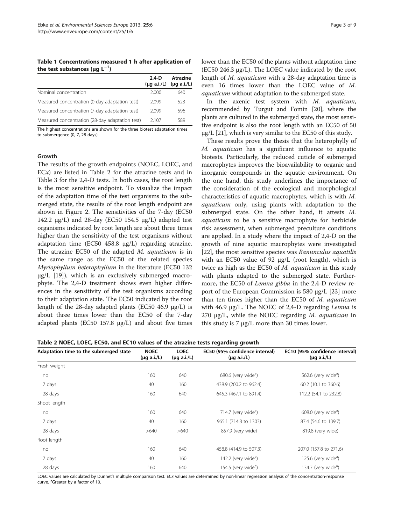<span id="page-2-0"></span>Table 1 Concentrations measured 1 h after application of the test substances ( $\mu$ g L $^{-1}$ )

|                                                 | $2.4-D$<br>$(\mu q \text{ a.i./L})$ | Atrazine<br>$(\mu q \text{ a.i./L})$ |
|-------------------------------------------------|-------------------------------------|--------------------------------------|
| Nominal concentration                           | 2.000                               | 640                                  |
| Measured concentration (0-day adaptation test)  | 2,099                               | 523                                  |
| Measured concentration (7-day adaptation test)  | 2,099                               | 596                                  |
| Measured concentration (28-day adaptation test) | 2.107                               | 589                                  |

The highest concentrations are shown for the three biotest adaptation times to submergence (0, 7, 28 days).

#### Growth

The results of the growth endpoints (NOEC, LOEC, and  $ECx$ ) are listed in Table 2 for the atrazine tests and in Table [3](#page-3-0) for the 2,4-D tests. In both cases, the root length is the most sensitive endpoint. To visualize the impact of the adaptation time of the test organisms to the submerged state, the results of the root length endpoint are shown in Figure [2.](#page-3-0) The sensitivities of the 7-day (EC50 142.2  $\mu$ g/L) and 28-day (EC50 154.5  $\mu$ g/L) adapted test organisms indicated by root length are about three times higher than the sensitivity of the test organisms without adaptation time (EC50 458.8 μg/L) regarding atrazine. The atrazine EC50 of the adapted M. aquaticum is in the same range as the EC50 of the related species Myriophyllum heterophyllum in the literature (EC50 132  $\mu$ g/L [[19\]](#page-7-0)), which is an exclusively submerged macrophyte. The 2,4-D treatment shows even higher differences in the sensitivity of the test organisms according to their adaptation state. The EC50 indicated by the root length of the 28-day adapted plants (EC50 46.9 μg/L) is about three times lower than the EC50 of the 7-day adapted plants (EC50 157.8 μg/L) and about five times lower than the EC50 of the plants without adaptation time (EC50 246.3 μg/L). The LOEC value indicated by the root length of M. aquaticum with a 28-day adaptation time is even 16 times lower than the LOEC value of M. aquaticum without adaptation to the submerged state.

In the axenic test system with M. aquaticum, recommended by Turgut and Fomin [[20](#page-8-0)], where the plants are cultured in the submerged state, the most sensitive endpoint is also the root length with an EC50 of 50  $\mu$ g/L [\[21\]](#page-8-0), which is very similar to the EC50 of this study.

These results prove the thesis that the heterophylly of M. aquaticum has a significant influence to aquatic biotests. Particularly, the reduced cuticle of submerged macrophytes improves the bioavailability to organic and inorganic compounds in the aquatic environment. On the one hand, this study underlines the importance of the consideration of the ecological and morphological characteristics of aquatic macrophytes, which is with M. aquaticum only, using plants with adaptation to the submerged state. On the other hand, it attests M. aquaticum to be a sensitive macrophyte for herbicide risk assessment, when submerged preculture conditions are applied. In a study where the impact of 2,4-D on the growth of nine aquatic macrophytes were investigated [[22\]](#page-8-0), the most sensitive species was Ranunculus aquatilis with an EC50 value of 92 μg/L (root length), which is twice as high as the EC50 of M. aquaticum in this study with plants adapted to the submerged state. Furthermore, the EC50 of Lemna gibba in the 2,4-D review report of the European Commission is 580 μg/L [\[23\]](#page-8-0) more than ten times higher than the EC50 of M. aquaticum with 46.9 μg/L. The NOEC of 2,4-D regarding Lemna is 270 μg/L, while the NOEC regarding  $M$ . *aquaticum* in this study is  $7 \mu g/L$  more than 30 times lower.

Table 2 NOEC, LOEC, EC50, and EC10 values of the atrazine tests regarding growth

| Adaptation time to the submerged state | <b>NOEC</b><br>$(\mu g a.i./L)$ | <b>LOEC</b><br>$(\mu q \text{ a.i./L})$ | EC50 (95% confidence interval)<br>$(\mu q \text{ a.i./L})$ | EC10 (95% confidence interval)<br>$(\mu q \text{ a.i./L})$ |
|----------------------------------------|---------------------------------|-----------------------------------------|------------------------------------------------------------|------------------------------------------------------------|
| Fresh weight                           |                                 |                                         |                                                            |                                                            |
| no                                     | 160                             | 640                                     | 680.6 (very wide <sup>a</sup> )                            | 562.6 (very wide <sup>a</sup> )                            |
| 7 days                                 | 40                              | 160                                     | 438.9 (200.2 to 962.4)                                     | 60.2 (10.1 to 360.6)                                       |
| 28 days                                | 160                             | 640                                     | 645.3 (467.1 to 891.4)                                     | 112.2 (54.1 to 232.8)                                      |
| Shoot length                           |                                 |                                         |                                                            |                                                            |
| no                                     | 160                             | 640                                     | 714.7 (very wide <sup>a</sup> )                            | $608.0$ (very wide <sup>a</sup> )                          |
| 7 days                                 | 40                              | 160                                     | 965.1 (714.8 to 1303)                                      | 87.4 (54.6 to 139.7)                                       |
| 28 days                                | >640                            | >640                                    | 857.9 (very wide)                                          | 819.8 (very wide)                                          |
| Root length                            |                                 |                                         |                                                            |                                                            |
| no                                     | 160                             | 640                                     | 458.8 (414.9 to 507.3)                                     | 207.0 (157.8 to 271.6)                                     |
| 7 days                                 | 40                              | 160                                     | 142.2 (very wide <sup>a</sup> )                            | 125.6 (very wide <sup>a</sup> )                            |
| 28 days                                | 160                             | 640                                     | 154.5 (very wide <sup>a</sup> )                            | 134.7 (very wide <sup>a</sup> )                            |

LOEC values are calculated by Dunnet's multiple comparison test. ECx values are determined by non-linear regression analysis of the concentration-response curve. <sup>a</sup>Greater by a factor of 10.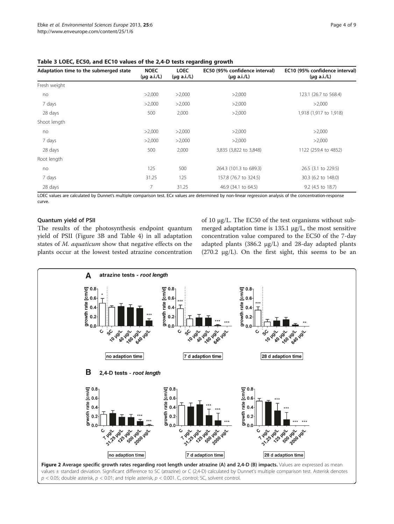| Adaptation time to the submerged state | <b>NOEC</b><br>$(\mu q \text{ a.i./L})$ | <b>LOEC</b><br>$(\mu q \text{ a.i.}/L)$ | EC50 (95% confidence interval)<br>$(\mu q \text{ a.i.}/L)$ | EC10 (95% confidence interval)<br>$(\mu q \text{ a.i.}/L)$ |
|----------------------------------------|-----------------------------------------|-----------------------------------------|------------------------------------------------------------|------------------------------------------------------------|
| Fresh weight                           |                                         |                                         |                                                            |                                                            |
| no                                     | >2,000                                  | >2,000                                  | >2,000                                                     | 123.1 (26.7 to 568.4)                                      |
| 7 days                                 | >2,000                                  | >2,000                                  | >2,000                                                     | >2,000                                                     |
| 28 days                                | 500                                     | 2,000                                   | >2,000                                                     | 1,918 (1,917 to 1,918)                                     |
| Shoot length                           |                                         |                                         |                                                            |                                                            |
| no                                     | >2,000                                  | >2,000                                  | >2,000                                                     | >2,000                                                     |
| 7 days                                 | >2,000                                  | >2,000                                  | >2,000                                                     | >2,000                                                     |
| 28 days                                | 500                                     | 2,000                                   | 3,835 (3,822 to 3,848)                                     | 1122 (259.4 to 4852)                                       |
| Root length                            |                                         |                                         |                                                            |                                                            |
| no                                     | 125                                     | 500                                     | 264.3 (101.3 to 689.3)                                     | 26.5 (3.1 to 229.5)                                        |
| 7 days                                 | 31.25                                   | 125                                     | 157.8 (76.7 to 324.5)                                      | 30.3 (6.2 to 148.0)                                        |
| 28 days                                | 7                                       | 31.25                                   | 46.9 (34.1 to 64.5)                                        | 9.2 (4.5 to 18.7)                                          |

<span id="page-3-0"></span>Table 3 LOEC, EC50, and EC10 values of the 2,4-D tests regarding growth

LOEC values are calculated by Dunnet's multiple comparison test. ECx values are determined by non-linear regression analysis of the concentration-response curve.

#### Quantum yield of PSII

The results of the photosynthesis endpoint quantum yield of PSII (Figure [3](#page-4-0)B and Table [4\)](#page-4-0) in all adaptation states of M. aquaticum show that negative effects on the plants occur at the lowest tested atrazine concentration of 10 μg/L. The EC50 of the test organisms without submerged adaptation time is 135.1 μg/L, the most sensitive concentration value compared to the EC50 of the 7-day adapted plants (386.2 μg/L) and 28-day adapted plants (270.2 μg/L). On the first sight, this seems to be an



values ± standard deviation. Significant difference to SC (atrazine) or C (2,4-D) calculated by Dunnet's multiple comparison test. Asterisk denotes  $p < 0.05$ ; double asterisk,  $p < 0.01$ ; and triple asterisk,  $p < 0.001$ . C, control; SC, solvent control.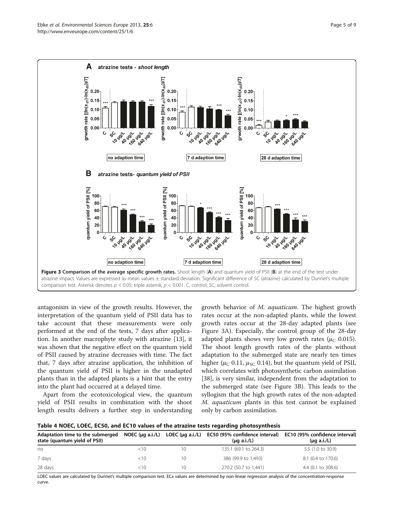<span id="page-4-0"></span>

antagonism in view of the growth results. However, the interpretation of the quantum yield of PSII data has to take account that these measurements were only performed at the end of the tests, 7 days after application. In another macrophyte study with atrazine [[13\]](#page-7-0), it was shown that the negative effect on the quantum yield of PSII caused by atrazine decreases with time. The fact that, 7 days after atrazine application, the inhibition of the quantum yield of PSII is higher in the unadapted plants than in the adapted plants is a hint that the entry into the plant had occurred at a delayed time.

Apart from the ecotoxicological view, the quantum yield of PSII results in combination with the shoot length results delivers a further step in understanding

growth behavior of M. aquaticum. The highest growth rates occur at the non-adapted plants, while the lowest growth rates occur at the 28-day adapted plants (see Figure 3A). Especially, the control group of the 28-day adapted plants shows very low growth rates ( $\mu_C$  0.015). The shoot length growth rates of the plants without adaptation to the submerged state are nearly ten times higher ( $\mu$ <sub>C</sub> 0.11,  $\mu$ <sub>SC</sub> 0.14), but the quantum yield of PSII, which correlates with photosynthetic carbon assimilation [[38\]](#page-8-0), is very similar, independent from the adaptation to the submerged state (see Figure 3B). This leads to the syllogism that the high growth rates of the non-adapted M. aquaticum plants in this test cannot be explained only by carbon assimilation.

|  |  |  | Table 4 NOEC, LOEC, EC50, and EC10 values of the atrazine tests regarding photosynthesis |
|--|--|--|------------------------------------------------------------------------------------------|
|--|--|--|------------------------------------------------------------------------------------------|

| Adaptation time to the submerged<br>state (quantum yield of PSII) | NOEC ( $\mu$ g a.i./L) | LOEC (µg a.i./L) | EC50 (95% confidence interval)<br>$(\mu q \text{ a.i/L})$ | EC10 (95% confidence interval)<br>$(\mu q \text{ a.i./L})$ |
|-------------------------------------------------------------------|------------------------|------------------|-----------------------------------------------------------|------------------------------------------------------------|
| no                                                                | $<$ 10                 | 10               | 135.1 (69.1 to 264.3)                                     | 5.5 (1.0 to 30.9)                                          |
| 7 days                                                            | $<$ 10                 | 10               | 386 (99.9 to 1.493)                                       | 8.1 (0.4 to 170.6)                                         |
| 28 days                                                           | $<$ 10                 | 10               | 270.2 (50.7 to 1,441)                                     | $4.4$ (0.1 to 308.6)                                       |

LOEC values are calculated by Dunnet's multiple comparison test. ECx values are determined by non-linear regression analysis of the concentration-response curve.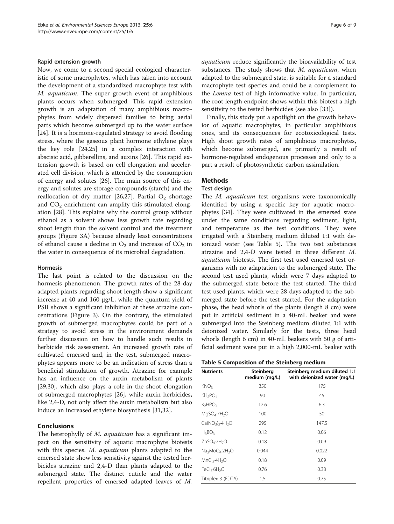#### Rapid extension growth

Now, we come to a second special ecological characteristic of some macrophytes, which has taken into account the development of a standardized macrophyte test with M. aquaticum. The super growth event of amphibious plants occurs when submerged. This rapid extension growth is an adaptation of many amphibious macrophytes from widely dispersed families to bring aerial parts which become submerged up to the water surface [[24\]](#page-8-0). It is a hormone-regulated strategy to avoid flooding stress, where the gaseous plant hormone ethylene plays the key role [[24,25](#page-8-0)] in a complex interaction with abscisic acid, gibberellins, and auxins [[26\]](#page-8-0). This rapid extension growth is based on cell elongation and accelerated cell division, which is attended by the consumption of energy and solutes [\[26\]](#page-8-0). The main source of this energy and solutes are storage compounds (starch) and the reallocation of dry matter [\[26,27\]](#page-8-0). Partial  $O_2$  shortage and  $CO<sub>2</sub>$  enrichment can amplify this stimulated elongation [\[28](#page-8-0)]. This explains why the control group without ethanol as a solvent shows less growth rate regarding shoot length than the solvent control and the treatment groups (Figure [3A](#page-4-0)) because already least concentrations of ethanol cause a decline in  $O_2$  and increase of  $CO_2$  in the water in consequence of its microbial degradation.

#### Hormesis

The last point is related to the discussion on the hormesis phenomenon. The growth rates of the 28-day adapted plants regarding shoot length show a significant increase at 40 and 160 μg/L, while the quantum yield of PSII shows a significant inhibition at these atrazine concentrations (Figure [3\)](#page-4-0). On the contrary, the stimulated growth of submerged macrophytes could be part of a strategy to avoid stress in the environment demands further discussion on how to handle such results in herbicide risk assessment. An increased growth rate of cultivated emersed and, in the test, submerged macrophytes appears more to be an indication of stress than a beneficial stimulation of growth. Atrazine for example has an influence on the auxin metabolism of plants [[29,30\]](#page-8-0), which also plays a role in the shoot elongation of submerged macrophytes [\[26\]](#page-8-0), while auxin herbicides, like 2,4-D, not only affect the auxin metabolism but also induce an increased ethylene biosynthesis [\[31,32](#page-8-0)].

#### Conclusions

The heterophylly of *M. aquaticum* has a significant impact on the sensitivity of aquatic macrophyte biotests with this species. M. *aquaticum* plants adapted to the emersed state show less sensitivity against the tested herbicides atrazine and 2,4-D than plants adapted to the submerged state. The distinct cuticle and the water repellent properties of emersed adapted leaves of M.

aquaticum reduce significantly the bioavailability of test substances. The study shows that  $M$ . *aquaticum*, when adapted to the submerged state, is suitable for a standard macrophyte test species and could be a complement to the *Lemna* test of high informative value. In particular, the root length endpoint shows within this biotest a high sensitivity to the tested herbicides (see also [\[33\]](#page-8-0)).

Finally, this study put a spotlight on the growth behavior of aquatic macrophytes, in particular amphibious ones, and its consequences for ecotoxicological tests. High shoot growth rates of amphibious macrophytes, which become submerged, are primarily a result of hormone-regulated endogenous processes and only to a part a result of photosynthetic carbon assimilation.

#### **Methods**

#### Test design

The *M. aquaticum* test organisms were taxonomically identified by using a specific key for aquatic macrophytes [[34](#page-8-0)]. They were cultivated in the emersed state under the same conditions regarding sediment, light, and temperature as the test conditions. They were irrigated with a Steinberg medium diluted 1:1 with deionized water (see Table 5). The two test substances atrazine and 2,4-D were tested in three different M. aquaticum biotests. The first test used emersed test organisms with no adaptation to the submerged state. The second test used plants, which were 7 days adapted to the submerged state before the test started. The third test used plants, which were 28 days adapted to the submerged state before the test started. For the adaptation phase, the head whorls of the plants (length 8 cm) were put in artificial sediment in a 40-mL beaker and were submerged into the Steinberg medium diluted 1:1 with deionized water. Similarly for the tests, three head whorls (length 6 cm) in 40-mL beakers with 50 g of artificial sediment were put in a high 2,000-mL beaker with

|  | Table 5 Composition of the Steinberg medium |  |  |  |
|--|---------------------------------------------|--|--|--|
|--|---------------------------------------------|--|--|--|

| <b>Nutrients</b>                                    | Steinberg<br>medium (mg/L) | Steinberg medium diluted 1:1<br>with deionized water (mg/L) |
|-----------------------------------------------------|----------------------------|-------------------------------------------------------------|
| KNO <sub>3</sub>                                    | 350                        | 175                                                         |
| KH <sub>2</sub> PO <sub>4</sub>                     | 90                         | 45                                                          |
| $K_2HPOA$                                           | 12.6                       | 6.3                                                         |
| $MqSO_4$ -7H <sub>2</sub> O                         | 100                        | 50                                                          |
| $Ca(NO_3)$ <sub>2</sub> .4H <sub>2</sub> O          | 295                        | 147.5                                                       |
| $H_3BO_3$                                           | 0.12                       | 0.06                                                        |
| ZnSO <sub>4</sub> ·7H <sub>2</sub> O                | 0.18                       | 0.09                                                        |
| Na <sub>2</sub> MoO <sub>4</sub> .2H <sub>2</sub> O | 0.044                      | 0.022                                                       |
| MnCl <sub>2</sub> ·4H <sub>2</sub> O                | 0.18                       | 0.09                                                        |
| FeCl <sub>3</sub> ·6H <sub>2</sub> O                | 0.76                       | 0.38                                                        |
| Titriplex 3 (EDTA)                                  | 1.5                        | 0.75                                                        |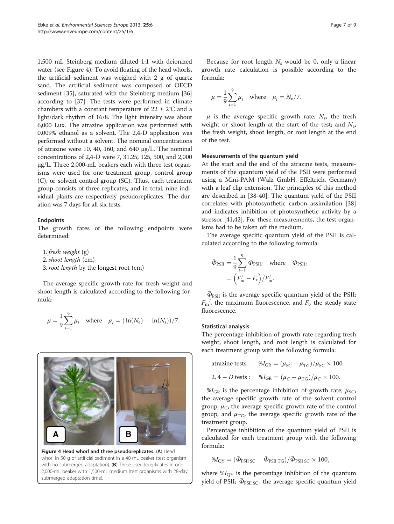1,500 mL Steinberg medium diluted 1:1 with deionized water (see Figure 4). To avoid floating of the head whorls, the artificial sediment was weighed with 2 g of quartz sand. The artificial sediment was composed of OECD sediment [[35\]](#page-8-0), saturated with the Steinberg medium [[36](#page-8-0)] according to [\[37\]](#page-8-0). The tests were performed in climate chambers with a constant temperature of  $22 \pm 2^{\circ}C$  and a light/dark rhythm of 16/8. The light intensity was about 6,000 Lux. The atrazine application was performed with 0.009% ethanol as a solvent. The 2,4-D application was performed without a solvent. The nominal concentrations of atrazine were 10, 40, 160, and 640 μg/L. The nominal concentrations of 2,4-D were 7, 31.25, 125, 500, and 2,000 μg/L. Three 2,000-mL beakers each with three test organisms were used for one treatment group, control group (C), or solvent control group (SC). Thus, each treatment group consists of three replicates, and in total, nine individual plants are respectively pseudoreplicates. The duration was 7 days for all six tests.

#### Endpoints

The growth rates of the following endpoints were determined:

1. fresh weight (g)<br>2. shoot length (cm)  $\frac{8}{3}$  root length by the  $3.1 \text{ m/s}$ 

The average specific growth rate for fresh weight and shoot length is calculated according to the following formula:

$$
\mu = \frac{1}{9} \sum_{i=1}^{9} \mu_i
$$
 where  $\mu_i = (\ln(N_e) - \ln(N_s))/7$ .

Figure 4 Head whorl and three pseudoreplicates. (A) Head whorl in 50 g of artificial sediment in a 40-mL beaker (test organism with no submerged adaptation). (B) Three pseudoreplicates in one 2,000-mL beaker with 1,500-mL medium (test organisms with 28-day submerged adaptation time).

Because for root length  $N_s$  would be 0, only a linear growth rate calculation is possible according to the formula:

$$
\mu = \frac{1}{9} \sum_{i=1}^{9} \mu_i
$$
 where  $\mu_i = N_e/7$ .

 $\mu$  is the average specific growth rate;  $N_s$ , the fresh weight or shoot length at the start of the test; and  $N_e$ , the fresh weight, shoot length, or root length at the end of the test.

#### Measurements of the quantum yield

At the start and the end of the atrazine tests, measurements of the quantum yield of the PSII were performed using a Mini-PAM (Walz GmbH, Effeltrich, Germany) with a leaf clip extension. The principles of this method are described in [\[38-40](#page-8-0)]. The quantum yield of the PSII correlates with photosynthetic carbon assimilation [[38](#page-8-0)] and indicates inhibition of photosynthetic activity by a stressor [\[41,42](#page-8-0)]. For these measurements, the test organisms had to be taken off the medium.

The average specific quantum yield of the PSII is calculated according to the following formula:

$$
\bar{\Phi}_{\text{PSII}} = \frac{1}{9} \sum_{i=1}^{9} \Phi_{\text{PSII}i} \quad \text{where} \quad \Phi_{\text{PSII}i}
$$

$$
= \left( F'_{m} - F_{t} \right) / F'_{m}.
$$

 $\Phi_{PSII}$  is the average specific quantum yield of the PSII;  $F_{\rm m}^{~~\prime}$ , the maximum fluorescence, and  $F_{\rm t}$ , the steady state fluorescence.

#### Statistical analysis

The percentage inhibition of growth rate regarding fresh weight, shoot length, and root length is calculated for each treatment group with the following formula:

atrazione tests : 
$$
\%I_{GR} = (\mu_{SC} - \mu_{TG})/\mu_{SC} \times 100
$$
  
2, 4 – *D* tests :  $\%I_{GR} = (\mu_C - \mu_{TG})/\mu_C \times 100$ ,

 $\%I_{\text{GR}}$  is the percentage inhibition of growth rate;  $\mu_{\text{SC}}$ , the average specific growth rate of the solvent control group;  $\mu_{\rm C}$ , the average specific growth rate of the control group; and  $\mu_{TG}$ , the average specific growth rate of the treatment group.

Percentage inhibition of the quantum yield of PSII is calculated for each treatment group with the following formula:

$$
\%I_{\rm QY} = (\bar{\Phi}_{\rm PSII SC} - \bar{\Phi}_{\rm PSII TG}) / \bar{\Phi}_{\rm PSII SC} \times 100,
$$

where  $\%I_{\text{OY}}$  is the percentage inhibition of the quantum yield of PSII;  $\bar{\Phi}_{PSII SC}$ , the average specific quantum yield

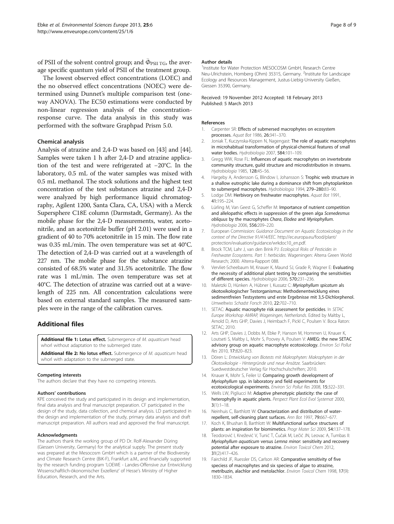<span id="page-7-0"></span>of PSII of the solvent control group; and  $\bar{\Phi}_{PSII \, TG}$ , the average specific quantum yield of PSII of the treatment group.

The lowest observed effect concentrations (LOEC) and the no observed effect concentrations (NOEC) were determined using Dunnet's multiple comparison test (oneway ANOVA). The EC50 estimations were conducted by non-linear regression analysis of the concentrationresponse curve. The data analysis in this study was performed with the software Graphpad Prism 5.0.

#### Chemical analysis

Analysis of atrazine and 2,4-D was based on [[43](#page-8-0)] and [[44](#page-8-0)]. Samples were taken 1 h after 2,4-D and atrazine application of the test and were refrigerated at −20°C. In the laboratory, 0.5 mL of the water samples was mixed with 0.5 mL methanol. The stock solutions and the highest test concentration of the test substances atrazine and 2,4-D were analyzed by high performance liquid chromatography, Agilent 1200, Santa Clara, CA, USA) with a Merck Supersphere C18E column (Darmstadt, Germany). As the mobile phase for the 2,4-D measurements, water, acetonitrile, and an acetonitrile buffer (pH 2.01) were used in a gradient of 40 to 70% acetonitrile in 15 min. The flow rate was 0.35 mL/min. The oven temperature was set at 40°C. The detection of 2,4-D was carried out at a wavelength of 227 nm. The mobile phase for the substance atrazine consisted of 68.5% water and 31.5% acetonitrile. The flow rate was 1 mL/min. The oven temperature was set at 40°C. The detection of atrazine was carried out at a wavelength of 225 nm. All concentration calculations were based on external standard samples. The measured samples were in the range of the calibration curves.

#### Additional files

[Additional file 1:](http://www.biomedcentral.com/content/supplementary/2190-4715-25-6-S1.wmv) Lotus effect. Submergence of M. aquaticum head whorl without adaptation to the submerged state.

[Additional file 2:](http://www.biomedcentral.com/content/supplementary/2190-4715-25-6-S2.wmv) No lotus effect. Submergence of M. aquaticum head whorl with adaptation to the submerged state.

#### Competing interests

The authors declare that they have no competing interests.

#### Authors' contributions

KPE conceived the study and participated in its design and implementation, final data analysis and final manuscript preparation. CF participated in the design of the study, data collection, and chemical analysis. LD participated in the design and implementation of the study, primary data analysis and draft manuscript preparation. All authors read and approved the final manuscript.

#### Acknowledgments

The authors thank the working group of PD Dr. Rolf-Alexander Düring (Giessen University, Germany) for the analytical supply. The present study was prepared at the Mesocosm GmbH which is a partner of the Biodiversity and Climate Research Centre (BiK-F), Frankfurt a.M., and financially supported by the research funding program 'LOEWE - Landes-Offensive zur Entwicklung Wissenschaftlich-ökonomischer Exzellenz' of Hesse's Ministry of Higher Education, Research, and the Arts.

#### Author details

<sup>1</sup>Institute for Water Protection MESOCOSM GmbH, Research Centre Neu-Ulrichstein, Homberg (Ohm) 35315, Germany. <sup>2</sup>Institute for Landscape Ecology and Resources Management, Justus-Liebig-University Gießen, Giessen 35390, Germany.

Received: 19 November 2012 Accepted: 18 February 2013 Published: 5 March 2013

#### References

- Carpenter SR: Effects of submersed macrophytes on ecosystem processes. Aquat Bot 1986, 26:341–370.
- 2. Joniak T, Kuczynska-Kippen N, Nagengast: The role of aquatic macrophytes in microhabitual transformation of physical-chemical features of small water bodies. Hydrobiologia 2007, 584:101-109.
- 3. Gregg WW, Rose FL: Influences of aquatic macrophytes on invertebrate community structure, guild structure and microdistribution in streams. Hydrobiologia 1985, 128:45–56.
- 4. Hargeby A, Andersson G, Blindow I, Johansson S: Trophic web structure in a shallow eutrophic lake during a dominance shift from phytoplankton to submerged macrophytes. Hydrobiologia 1994, 279–280:83–90.
- 5. Lodge DM: Herbivory on freshwater macrophytes. Aquat Bot 1991, 41:195–224.
- 6. Lürling M, Van Geest G, Scheffer M: Importance of nutrient competition and allelopathic effects in suppression of the green alga Scenedesmus obliquus by the macrophytes Chara, Elodea and Myriophyllum. Hydrobiologia 2006, 556:209–220.
- 7. European Commission: Guidance Document on Aquatic Ecotoxicology in the context of the Directive 91/414/EEC. [http://ec.europa.eu/food/plant/](http://ec.europa.eu/food/plant/protection/evaluation/guidance/wrkdoc10_en.pdf) [protection/evaluation/guidance/wrkdoc10\\_en.pdf.](http://ec.europa.eu/food/plant/protection/evaluation/guidance/wrkdoc10_en.pdf)
- 8. Brock TCM, Lahr J, van den Brink PJ: Ecological Risks of Pesticides in Freshwater Ecosystems. Part 1: herbicides. Wageningen: Alterra Green World Research; 2000. Alterra-Rapport 088.
- 9. Vervliet-Scheebaum M, Knauer K, Maund SJ, Grade R, Wagner E: Evaluating the necessity of additional plant testing by comparing the sensitivities of different species. Hydrobiologia 2006, 570:231–236.
- 10. Maletzki D, Hünken A, Hübner I, Kussatz C: Myriophyllum spicatum als ökotoxikologischer Testorganismus: Methodenentwicklung eines sedimentfreien Testsystems und erste Ergebnisse mit 3,5-Dichlorphenol. Umweltwiss Schadst Forsch 2010, 22:702–710.
- 11. SETAC: Aquatic macrophyte risk assessment for pesticides. In SETAC Europe Workshop AMRAP, Wageningen, Netherlands. Edited by Maltby L, Arnold D, Arts GHP, Davies J, Heimbach F, Pickl C, Poulsen V. Boca Raton: SETAC; 2010.
- 12. Arts GHP, Davies J, Dobbs M, Ebke P, Hanson M, Hommen U, Knauer K, Loutseti S, Maltby L, Mohr S, Poovey A, Poulsen V: AMEG: the new SETAC advisory group on aquatic macrophyte ecotoxicology. Environ Sci Pollut Res 2010, 17:820–823.
- 13. Dören L: Entwicklung von Biotests mit Makrophyten: Makrophyten in der Ökotoxikologie - Hintergründe und neue Ansätze. Saarbrücken: Suedwestdeutscher Verlag für Hochschulschriften; 2010.
- 14. Knauer K, Mohr S, Feiler U: Comparing growth development of Myriophyllum spp. in laboratory and field experiments for ecotoxicological experiments. Environ Sci Pollut Res 2008, 15:322–331.
- 15. Wells LW, Pigliucci M: Adaptive phenotypic plasticity: the case of heterophylly in aquatic plants. Perspect Plant Ecol Evol Systemat 2000,  $3(1):1-18$ .
- 16. Neinhuis C, Barthlott W: Characterization and distribution of waterrepellent, self-cleaning plant surfaces. Ann Bot 1997, 79:667–677.
- 17. Koch K, Bhushan B, Barthlott W: Multifunctional surface structures of plants: an inspiration for biomimetics. Progr Mater Sci 2009, 54:137-178.
- 18. Teodorović I, Knežević V, Tunić T, Čučak M, Lečić JN, Leovac A, Tumbas II: Myriophyllum aquaticum versus Lemna minor: sensitivity and recovery potential after exposure to atrazine. Environ Toxicol Chem 2012, 31(2):417–426.
- 19. Fairchild JF, Ruessler DS, Carlson AR: Comparative sensitivity of five speciess of macrophytes and six speciess of algae to atrazine, metribuzin, alachlor and metolachlor. Environ Toxicol Chem 1998, 17(9): 1830–1834.